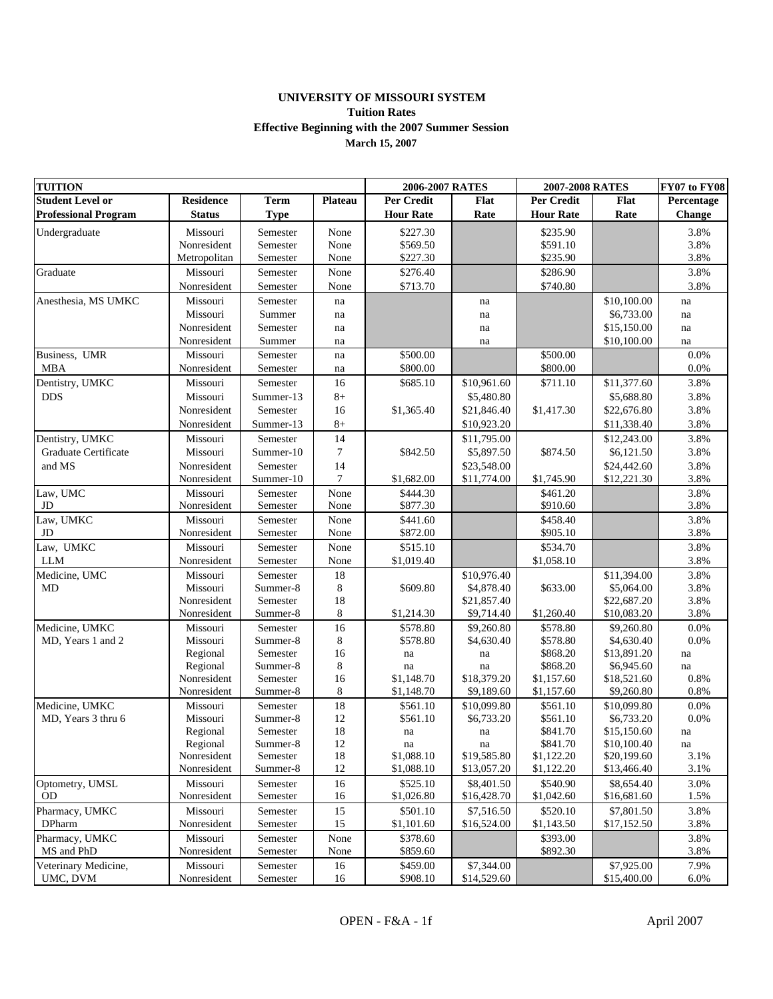## **UNIVERSITY OF MISSOURI SYSTEM Tuition Rates March 15, 2007 Effective Beginning with the 2007 Summer Session**

| <b>TUITION</b>              |                      |                      | 2006-2007 RATES |                   | 2007-2008 RATES |                      | FY07 to FY08              |               |
|-----------------------------|----------------------|----------------------|-----------------|-------------------|-----------------|----------------------|---------------------------|---------------|
| <b>Student Level or</b>     | <b>Residence</b>     | <b>Term</b>          | <b>Plateau</b>  | <b>Per Credit</b> | Flat            | Per Credit           | Flat                      | Percentage    |
| <b>Professional Program</b> | <b>Status</b>        | <b>Type</b>          |                 | <b>Hour Rate</b>  | Rate            | <b>Hour Rate</b>     | Rate                      | <b>Change</b> |
| Undergraduate               | Missouri             | Semester             | None            | \$227.30          |                 | \$235.90             |                           | 3.8%          |
|                             | Nonresident          | Semester             | None            | \$569.50          |                 | \$591.10             |                           | 3.8%          |
|                             | Metropolitan         | Semester             | None            | \$227.30          |                 | \$235.90             |                           | 3.8%          |
| Graduate                    | Missouri             | Semester             | None            | \$276.40          |                 | \$286.90             |                           | 3.8%          |
|                             | Nonresident          | Semester             | None            | \$713.70          |                 | \$740.80             |                           | 3.8%          |
| Anesthesia, MS UMKC         | Missouri             | Semester             | na              |                   | na              |                      | \$10,100.00               | na            |
|                             | Missouri             | Summer               | na              |                   | na              |                      | \$6,733.00                | na            |
|                             | Nonresident          | Semester             | na              |                   | na              |                      | \$15,150.00               | na            |
|                             | Nonresident          | Summer               | na              |                   | na              |                      | \$10,100.00               | na            |
| Business, UMR               | Missouri             | Semester             | na              | \$500.00          |                 | \$500.00             |                           | 0.0%          |
| <b>MBA</b>                  | Nonresident          | Semester             | na              | \$800.00          |                 | \$800.00             |                           | 0.0%          |
| Dentistry, UMKC             | Missouri             | Semester             | 16              | \$685.10          | \$10,961.60     | \$711.10             | \$11,377.60               | 3.8%          |
| <b>DDS</b>                  | Missouri             | Summer-13            | $8+$            |                   | \$5,480.80      |                      | \$5,688.80                | 3.8%          |
|                             | Nonresident          | Semester             | 16              | \$1,365.40        | \$21,846.40     | \$1,417.30           | \$22,676.80               | 3.8%          |
|                             | Nonresident          | Summer-13            | $8+$            |                   | \$10,923.20     |                      | \$11,338.40               | 3.8%          |
| Dentistry, UMKC             | Missouri             | Semester             | 14              |                   | \$11,795.00     |                      | \$12,243.00               | 3.8%          |
| Graduate Certificate        | Missouri             | Summer-10            | 7               | \$842.50          | \$5,897.50      | \$874.50             | \$6,121.50                | 3.8%          |
| and MS                      | Nonresident          | Semester             | 14              |                   | \$23,548.00     |                      | \$24,442.60               | 3.8%          |
|                             | Nonresident          | Summer-10            | $\tau$          | \$1,682.00        | \$11,774.00     | \$1,745.90           | \$12,221.30               | 3.8%          |
| Law, UMC                    | Missouri             | Semester             | None            | \$444.30          |                 | \$461.20             |                           | 3.8%          |
| JD                          | Nonresident          | Semester             | None            | \$877.30          |                 | \$910.60             |                           | 3.8%          |
| Law, UMKC                   | Missouri             | Semester             | None            | \$441.60          |                 | \$458.40             |                           | 3.8%          |
| JD                          | Nonresident          | Semester             | None            | \$872.00          |                 | \$905.10             |                           | 3.8%          |
| Law, UMKC                   | Missouri             | Semester             | None            | \$515.10          |                 | \$534.70             |                           | 3.8%          |
| <b>LLM</b>                  | Nonresident          | Semester             | None            | \$1,019.40        |                 | \$1,058.10           |                           | 3.8%          |
| Medicine, UMC               | Missouri             | Semester             | 18              |                   | \$10,976.40     |                      | \$11,394.00               | 3.8%          |
| MD                          | Missouri             | Summer-8             | 8               | \$609.80          | \$4,878.40      | \$633.00             | \$5,064.00                | 3.8%          |
|                             | Nonresident          | Semester             | 18              |                   | \$21,857.40     |                      | \$22,687.20               | 3.8%          |
|                             | Nonresident          | Summer-8             | 8               | \$1,214.30        | \$9,714.40      | \$1,260.40           | \$10,083.20               | 3.8%          |
| Medicine, UMKC              | Missouri             | Semester             | 16              | \$578.80          | \$9,260.80      | \$578.80             | \$9,260.80                | 0.0%          |
| MD, Years 1 and 2           | Missouri             | Summer-8             | 8<br>16         | \$578.80          | \$4,630.40      | \$578.80             | \$4,630.40                | 0.0%          |
|                             | Regional<br>Regional | Semester<br>Summer-8 | 8               | na<br>na          | na<br>na        | \$868.20<br>\$868.20 | \$13,891.20<br>\$6,945.60 | na<br>na      |
|                             | Nonresident          | Semester             | 16              | \$1,148.70        | \$18,379.20     | \$1,157.60           | \$18,521.60               | 0.8%          |
|                             | Nonresident          | Summer-8             | 8               | \$1,148.70        | \$9,189.60      | \$1,157.60           | \$9,260.80                | 0.8%          |
| Medicine, UMKC              | Missouri             | Semester             | 18              | \$561.10          | \$10,099.80     | \$561.10             | \$10,099.80               | 0.0%          |
| MD, Years 3 thru 6          | Missouri             | Summer-8             | 12              | \$561.10          | \$6,733.20      | \$561.10             | \$6,733.20                | 0.0%          |
|                             | Regional             | Semester             | 18              | na                | na              | \$841.70             | \$15,150.60               | na            |
|                             | Regional             | Summer-8             | 12              | na                | na              | \$841.70             | \$10,100.40               | na            |
|                             | Nonresident          | Semester             | 18              | \$1,088.10        | \$19,585.80     | \$1,122.20           | \$20,199.60               | 3.1%          |
|                             | Nonresident          | Summer-8             | 12              | \$1,088.10        | \$13,057.20     | \$1,122.20           | \$13,466.40               | 3.1%          |
| Optometry, UMSL             | Missouri             | Semester             | 16              | \$525.10          | \$8,401.50      | \$540.90             | \$8,654.40                | 3.0%          |
| <b>OD</b>                   | Nonresident          | Semester             | 16              | \$1,026.80        | \$16,428.70     | \$1,042.60           | \$16,681.60               | 1.5%          |
| Pharmacy, UMKC              | Missouri             | Semester             | 15              | \$501.10          | \$7,516.50      | \$520.10             | \$7,801.50                | 3.8%          |
| <b>DPharm</b>               | Nonresident          | Semester             | 15              | \$1,101.60        | \$16,524.00     | \$1,143.50           | \$17,152.50               | 3.8%          |
| Pharmacy, UMKC              | Missouri             | Semester             | None            | \$378.60          |                 | \$393.00             |                           | 3.8%          |
| MS and PhD                  | Nonresident          | Semester             | None            | \$859.60          |                 | \$892.30             |                           | 3.8%          |
| Veterinary Medicine,        | Missouri             | Semester             | 16              | \$459.00          | \$7,344.00      |                      | \$7,925.00                | 7.9%          |
| UMC, DVM                    | Nonresident          | Semester             | 16              | \$908.10          | \$14,529.60     |                      | \$15,400.00               | 6.0%          |